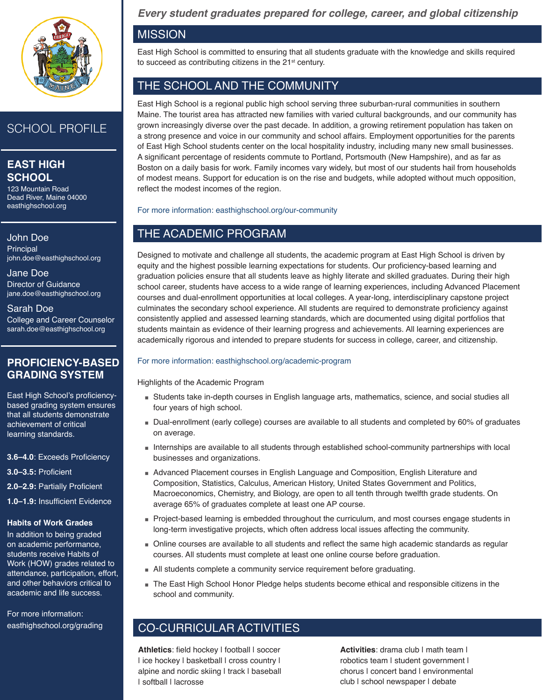

# SCHOOL PROFILE

## **EAST High School**

123 Mountain Road Dead River, Maine 04000 easthighschool.org

John Doe **Principal** john.doe@easthighschool.org

Jane Doe Director of Guidance jane.doe@easthighschool.org

Sarah Doe College and Career Counselor sarah.doe@easthighschool.org

### **PROFICIENCY-BASED GRADING SYSTEM**

East High School's proficiencybased grading system ensures that all students demonstrate achievement of critical learning standards.

**3.6–4.0**: Exceeds Proficiency

**3.0–3.5:** Proficient

**2.0–2.9:** Partially Proficient

**1.0–1.9:** Insufficient Evidence

#### **Habits of Work Grades**

In addition to being graded on academic performance, students receive Habits of Work (HOW) grades related to attendance, participation, effort, and other behaviors critical to academic and life success.

For more information: easthighschool.org/grading *Every student graduates prepared for college, career, and global citizenship*

#### **MISSION**

East High School is committed to ensuring that all students graduate with the knowledge and skills required to succeed as contributing citizens in the 21<sup>st</sup> century.

### THE SCHOOL AND THE COMMUNITY

East High School is a regional public high school serving three suburban-rural communities in southern Maine. The tourist area has attracted new families with varied cultural backgrounds, and our community has grown increasingly diverse over the past decade. In addition, a growing retirement population has taken on a strong presence and voice in our community and school affairs. Employment opportunities for the parents of East High School students center on the local hospitality industry, including many new small businesses. A significant percentage of residents commute to Portland, Portsmouth (New Hampshire), and as far as Boston on a daily basis for work. Family incomes vary widely, but most of our students hail from households of modest means. Support for education is on the rise and budgets, while adopted without much opposition, reflect the modest incomes of the region.

For more information: easthighschool.org/our-community

### THE ACADEMIC PROGRAM

Designed to motivate and challenge all students, the academic program at East High School is driven by equity and the highest possible learning expectations for students. Our proficiency-based learning and graduation policies ensure that all students leave as highly literate and skilled graduates. During their high school career, students have access to a wide range of learning experiences, including Advanced Placement courses and dual-enrollment opportunities at local colleges. A year-long, interdisciplinary capstone project culminates the secondary school experience. All students are required to demonstrate proficiency against consistently applied and assessed learning standards, which are documented using digital portfolios that students maintain as evidence of their learning progress and achievements. All learning experiences are academically rigorous and intended to prepare students for success in college, career, and citizenship.

#### For more information: easthighschool.org/academic-program

Highlights of the Academic Program

- Students take in-depth courses in English language arts, mathematics, science, and social studies all four years of high school.
- Dual-enrollment (early college) courses are available to all students and completed by 60% of graduates on average.
- Internships are available to all students through established school-community partnerships with local businesses and organizations.
- Advanced Placement courses in English Language and Composition, English Literature and Composition, Statistics, Calculus, American History, United States Government and Politics, Macroeconomics, Chemistry, and Biology, are open to all tenth through twelfth grade students. On average 65% of graduates complete at least one AP course.
- Project-based learning is embedded throughout the curriculum, and most courses engage students in long-term investigative projects, which often address local issues affecting the community.
- Online courses are available to all students and reflect the same high academic standards as regular courses. All students must complete at least one online course before graduation.
- All students complete a community service requirement before graduating.
- The East High School Honor Pledge helps students become ethical and responsible citizens in the school and community.

## CO-CURRICULAR ACTIVITIES

**Athletics**: field hockey | football | soccer I ice hockey I basketball I cross country I alpine and nordic skiing I track I baseball | softball | lacrosse

**Activities**: drama club | math team | robotics team | student government | chorus | concert band | environmental club | school newspaper | debate